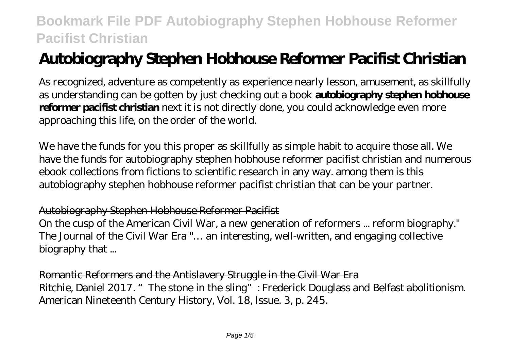# **Autobiography Stephen Hobhouse Reformer Pacifist Christian**

As recognized, adventure as competently as experience nearly lesson, amusement, as skillfully as understanding can be gotten by just checking out a book **autobiography stephen hobhouse reformer pacifist christian** next it is not directly done, you could acknowledge even more approaching this life, on the order of the world.

We have the funds for you this proper as skillfully as simple habit to acquire those all. We have the funds for autobiography stephen hobhouse reformer pacifist christian and numerous ebook collections from fictions to scientific research in any way. among them is this autobiography stephen hobhouse reformer pacifist christian that can be your partner.

#### Autobiography Stephen Hobhouse Reformer Pacifist

On the cusp of the American Civil War, a new generation of reformers ... reform biography." The Journal of the Civil War Era "… an interesting, well-written, and engaging collective biography that ...

Romantic Reformers and the Antislavery Struggle in the Civil War Era Ritchie, Daniel 2017. "The stone in the sling": Frederick Douglass and Belfast abolitionism. American Nineteenth Century History, Vol. 18, Issue. 3, p. 245.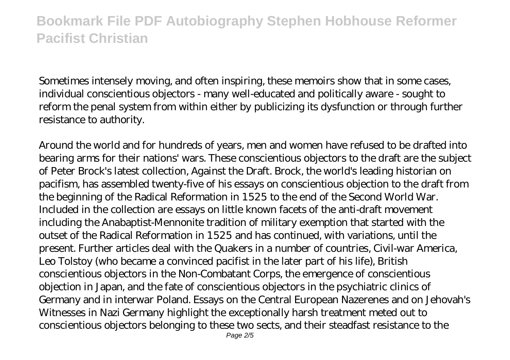Sometimes intensely moving, and often inspiring, these memoirs show that in some cases, individual conscientious objectors - many well-educated and politically aware - sought to reform the penal system from within either by publicizing its dysfunction or through further resistance to authority.

Around the world and for hundreds of years, men and women have refused to be drafted into bearing arms for their nations' wars. These conscientious objectors to the draft are the subject of Peter Brock's latest collection, Against the Draft. Brock, the world's leading historian on pacifism, has assembled twenty-five of his essays on conscientious objection to the draft from the beginning of the Radical Reformation in 1525 to the end of the Second World War. Included in the collection are essays on little known facets of the anti-draft movement including the Anabaptist-Mennonite tradition of military exemption that started with the outset of the Radical Reformation in 1525 and has continued, with variations, until the present. Further articles deal with the Quakers in a number of countries, Civil-war America, Leo Tolstoy (who became a convinced pacifist in the later part of his life), British conscientious objectors in the Non-Combatant Corps, the emergence of conscientious objection in Japan, and the fate of conscientious objectors in the psychiatric clinics of Germany and in interwar Poland. Essays on the Central European Nazerenes and on Jehovah's Witnesses in Nazi Germany highlight the exceptionally harsh treatment meted out to conscientious objectors belonging to these two sects, and their steadfast resistance to the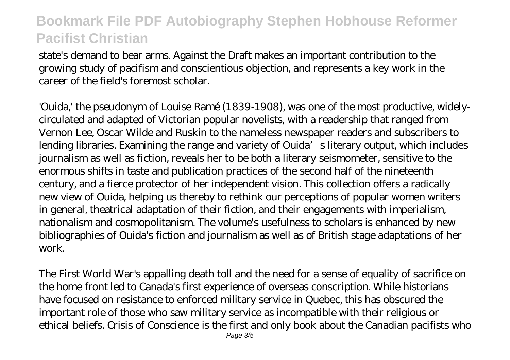state's demand to bear arms. Against the Draft makes an important contribution to the growing study of pacifism and conscientious objection, and represents a key work in the career of the field's foremost scholar.

'Ouida,' the pseudonym of Louise Ramé (1839-1908), was one of the most productive, widelycirculated and adapted of Victorian popular novelists, with a readership that ranged from Vernon Lee, Oscar Wilde and Ruskin to the nameless newspaper readers and subscribers to lending libraries. Examining the range and variety of Ouida's literary output, which includes journalism as well as fiction, reveals her to be both a literary seismometer, sensitive to the enormous shifts in taste and publication practices of the second half of the nineteenth century, and a fierce protector of her independent vision. This collection offers a radically new view of Ouida, helping us thereby to rethink our perceptions of popular women writers in general, theatrical adaptation of their fiction, and their engagements with imperialism, nationalism and cosmopolitanism. The volume's usefulness to scholars is enhanced by new bibliographies of Ouida's fiction and journalism as well as of British stage adaptations of her work.

The First World War's appalling death toll and the need for a sense of equality of sacrifice on the home front led to Canada's first experience of overseas conscription. While historians have focused on resistance to enforced military service in Quebec, this has obscured the important role of those who saw military service as incompatible with their religious or ethical beliefs. Crisis of Conscience is the first and only book about the Canadian pacifists who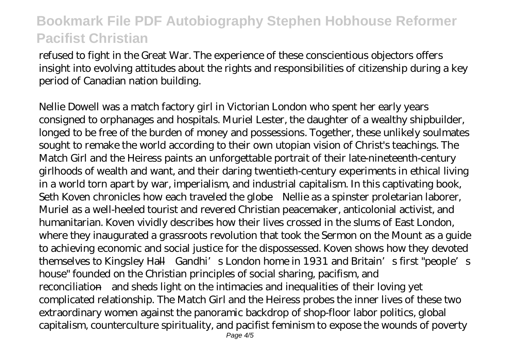refused to fight in the Great War. The experience of these conscientious objectors offers insight into evolving attitudes about the rights and responsibilities of citizenship during a key period of Canadian nation building.

Nellie Dowell was a match factory girl in Victorian London who spent her early years consigned to orphanages and hospitals. Muriel Lester, the daughter of a wealthy shipbuilder, longed to be free of the burden of money and possessions. Together, these unlikely soulmates sought to remake the world according to their own utopian vision of Christ's teachings. The Match Girl and the Heiress paints an unforgettable portrait of their late-nineteenth-century girlhoods of wealth and want, and their daring twentieth-century experiments in ethical living in a world torn apart by war, imperialism, and industrial capitalism. In this captivating book, Seth Koven chronicles how each traveled the globe—Nellie as a spinster proletarian laborer, Muriel as a well-heeled tourist and revered Christian peacemaker, anticolonial activist, and humanitarian. Koven vividly describes how their lives crossed in the slums of East London, where they inaugurated a grassroots revolution that took the Sermon on the Mount as a guide to achieving economic and social justice for the dispossessed. Koven shows how they devoted themselves to Kingsley Hall—Gandhi's London home in 1931 and Britain's first "people's house" founded on the Christian principles of social sharing, pacifism, and reconciliation—and sheds light on the intimacies and inequalities of their loving yet complicated relationship. The Match Girl and the Heiress probes the inner lives of these two extraordinary women against the panoramic backdrop of shop-floor labor politics, global capitalism, counterculture spirituality, and pacifist feminism to expose the wounds of poverty